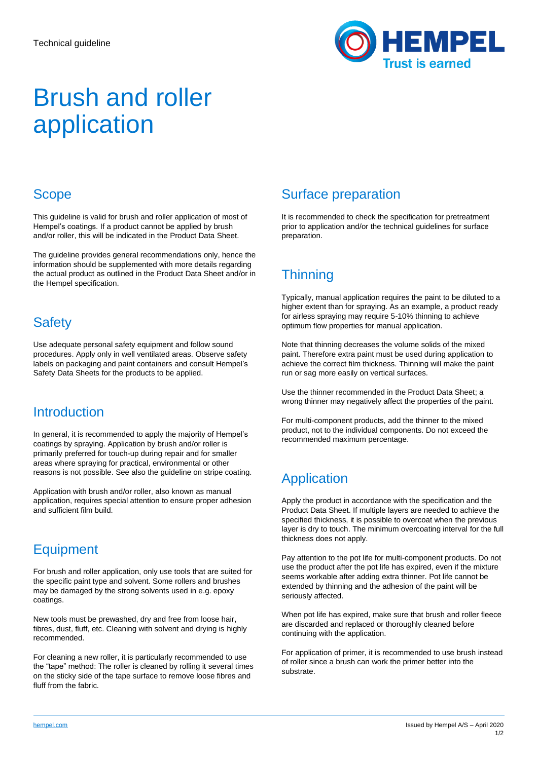

# Brush and roller application

## **Scope**

This guideline is valid for brush and roller application of most of Hempel's coatings. If a product cannot be applied by brush and/or roller, this will be indicated in the Product Data Sheet.

The guideline provides general recommendations only, hence the information should be supplemented with more details regarding the actual product as outlined in the Product Data Sheet and/or in the Hempel specification.

### **Safety**

Use adequate personal safety equipment and follow sound procedures. Apply only in well ventilated areas. Observe safety labels on packaging and paint containers and consult Hempel's Safety Data Sheets for the products to be applied.

### **Introduction**

In general, it is recommended to apply the majority of Hempel's coatings by spraying. Application by brush and/or roller is primarily preferred for touch-up during repair and for smaller areas where spraying for practical, environmental or other reasons is not possible. See also the guideline on stripe coating.

Application with brush and/or roller, also known as manual application, requires special attention to ensure proper adhesion and sufficient film build.

# **Equipment**

For brush and roller application, only use tools that are suited for the specific paint type and solvent. Some rollers and brushes may be damaged by the strong solvents used in e.g. epoxy coatings.

New tools must be prewashed, dry and free from loose hair, fibres, dust, fluff, etc. Cleaning with solvent and drying is highly recommended.

For cleaning a new roller, it is particularly recommended to use the "tape" method: The roller is cleaned by rolling it several times on the sticky side of the tape surface to remove loose fibres and fluff from the fabric.

# Surface preparation

It is recommended to check the specification for pretreatment prior to application and/or the technical guidelines for surface preparation.

# **Thinning**

Typically, manual application requires the paint to be diluted to a higher extent than for spraying. As an example, a product ready for airless spraying may require 5-10% thinning to achieve optimum flow properties for manual application.

Note that thinning decreases the volume solids of the mixed paint. Therefore extra paint must be used during application to achieve the correct film thickness. Thinning will make the paint run or sag more easily on vertical surfaces.

Use the thinner recommended in the Product Data Sheet; a wrong thinner may negatively affect the properties of the paint.

For multi-component products, add the thinner to the mixed product, not to the individual components. Do not exceed the recommended maximum percentage.

# **Application**

Apply the product in accordance with the specification and the Product Data Sheet. If multiple layers are needed to achieve the specified thickness, it is possible to overcoat when the previous layer is dry to touch. The minimum overcoating interval for the full thickness does not apply.

Pay attention to the pot life for multi-component products. Do not use the product after the pot life has expired, even if the mixture seems workable after adding extra thinner. Pot life cannot be extended by thinning and the adhesion of the paint will be seriously affected.

When pot life has expired, make sure that brush and roller fleece are discarded and replaced or thoroughly cleaned before continuing with the application.

For application of primer, it is recommended to use brush instead of roller since a brush can work the primer better into the substrate.